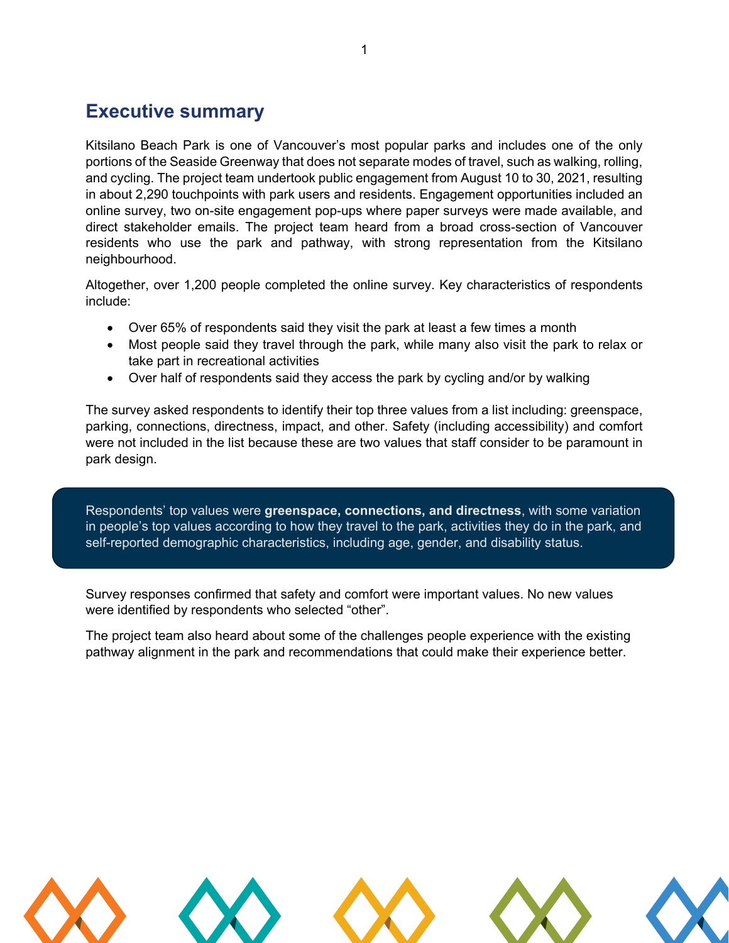## **Executive summary**

Kitsilano Beach Park is one of Vancouver's most popular parks and includes one of the only portions of the Seaside Greenway that does not separate modes of travel, such as walking, rolling, and cycling. The project team undertook public engagement from August 10 to 30, 2021, resulting in about 2,290 touchpoints with park users and residents. Engagement opportunities included an online survey, two on-site engagement pop-ups where paper surveys were made available, and direct stakeholder emails. The project team heard from a broad cross-section of Vancouver residents who use the park and pathway, with strong representation from the Kitsilano neighbourhood.

Altogether, over 1,200 people completed the online survey. Key characteristics of respondents include:

- Over 65% of respondents said they visit the park at least a few times a month
- Most people said they travel through the park, while many also visit the park to relax or take part in recreational activities
- Over half of respondents said they access the park by cycling and/or by walking

The survey asked respondents to identify their top three values from a list including: greenspace, parking, connections, directness, impact, and other. Safety (including accessibility) and comfort were not included in the list because these are two values that staff consider to be paramount in park design.

Respondents' top values were **greenspace, connections, and directness**, with some variation in people's top values according to how they travel to the park, activities they do in the park, and self-reported demographic characteristics, including age, gender, and disability status.

Survey responses confirmed that safety and comfort were important values. No new values were identified by respondents who selected "other".

The project team also heard about some of the challenges people experience with the existing pathway alignment in the park and recommendations that could make their experience better.

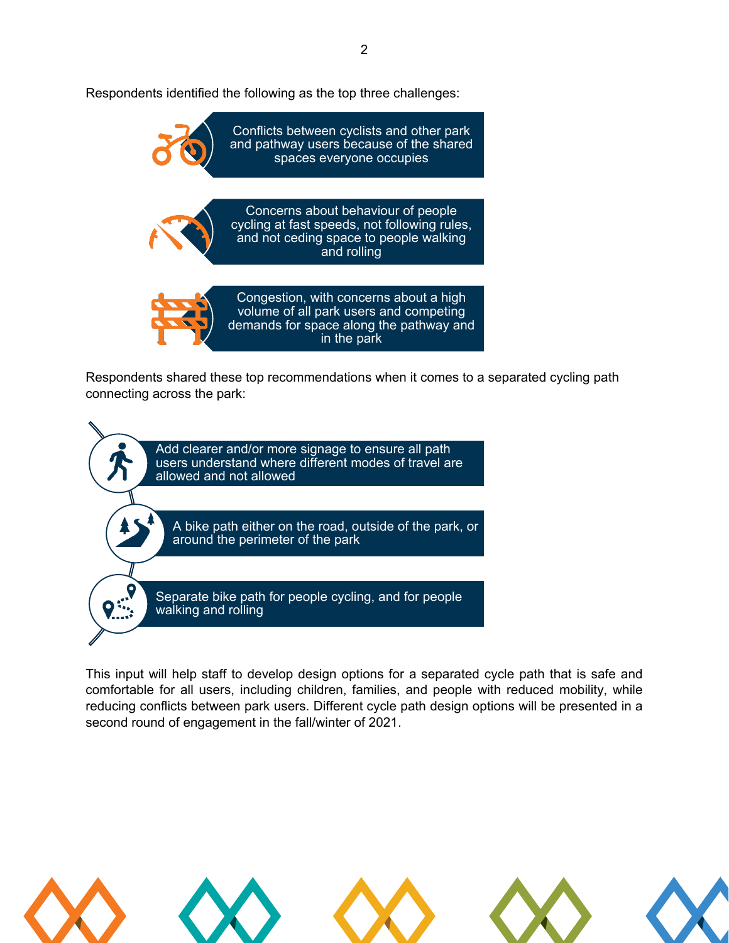Respondents identified the following as the top three challenges:



Respondents shared these top recommendations when it comes to a separated cycling path connecting across the park:



This input will help staff to develop design options for a separated cycle path that is safe and comfortable for all users, including children, families, and people with reduced mobility, while reducing conflicts between park users. Different cycle path design options will be presented in a second round of engagement in the fall/winter of 2021.